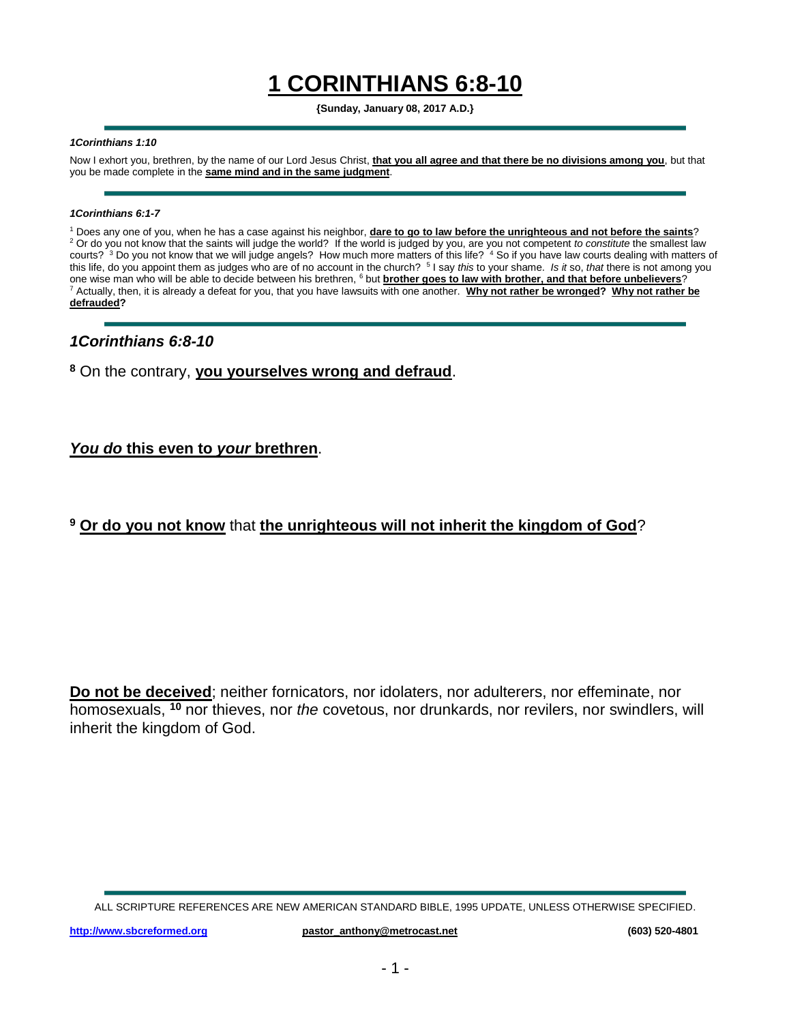# **1 CORINTHIANS 6:8-10**

**{Sunday, January 08, 2017 A.D.}**

#### *1Corinthians 1:10*

Now I exhort you, brethren, by the name of our Lord Jesus Christ, **that you all agree and that there be no divisions among you**, but that you be made complete in the **same mind and in the same judgment**.

#### *1Corinthians 6:1-7*

<sup>1</sup> Does any one of you, when he has a case against his neighbor, **dare to go to law before the unrighteous and not before the saints**? <sup>2</sup> Or do you not know that the saints will judge the world? If the world is judged by you, are you not competent *to constitute* the smallest law courts?  $3$  Do you not know that we will judge angels? How much more matters of this life?  $4$  So if you have law courts dealing with matters of this life, do you appoint them as judges who are of no account in the church? <sup>5</sup> I say *this* to your shame. *Is it* so, *that* there is not among you one wise man who will be able to decide between his brethren, <sup>6</sup> but **brother goes to law with brother, and that before unbelievers**? <sup>7</sup> Actually, then, it is already a defeat for you, that you have lawsuits with one another. **Why not rather be wronged? Why not rather be defrauded?**

#### *1Corinthians 6:8-10*

### **<sup>8</sup>** On the contrary, **you yourselves wrong and defraud**.

#### *You do* **this even to** *your* **brethren**.

## **<sup>9</sup> Or do you not know** that **the unrighteous will not inherit the kingdom of God**?

**Do not be deceived**; neither fornicators, nor idolaters, nor adulterers, nor effeminate, nor homosexuals, **<sup>10</sup>** nor thieves, nor *the* covetous, nor drunkards, nor revilers, nor swindlers, will inherit the kingdom of God.

ALL SCRIPTURE REFERENCES ARE NEW AMERICAN STANDARD BIBLE, 1995 UPDATE, UNLESS OTHERWISE SPECIFIED.